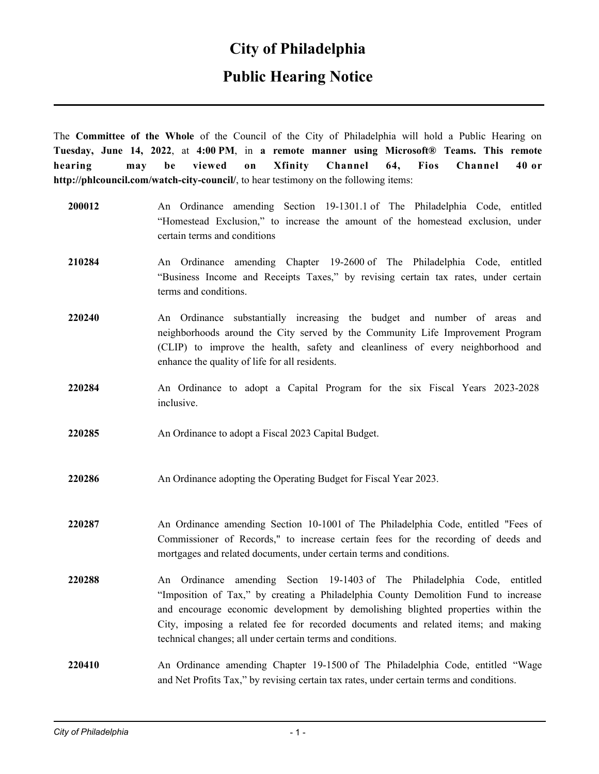## **City of Philadelphia**

## **Public Hearing Notice**

The **Committee of the Whole** of the Council of the City of Philadelphia will hold a Public Hearing on **Tuesday, June 14, 2022**, at **4:00 PM**, in **a remote manner using Microsoft® Teams. This remote hearing may be viewed on Xfinity Channel 64, Fios Channel 40 or http://phlcouncil.com/watch-city-council/**, to hear testimony on the following items:

**200012** An Ordinance amending Section 19-1301.1 of The Philadelphia Code, entitled "Homestead Exclusion," to increase the amount of the homestead exclusion, under certain terms and conditions **210284** An Ordinance amending Chapter 19-2600 of The Philadelphia Code, entitled "Business Income and Receipts Taxes," by revising certain tax rates, under certain terms and conditions. **220240** An Ordinance substantially increasing the budget and number of areas and neighborhoods around the City served by the Community Life Improvement Program (CLIP) to improve the health, safety and cleanliness of every neighborhood and enhance the quality of life for all residents. **220284** An Ordinance to adopt a Capital Program for the six Fiscal Years 2023-2028 inclusive. **220285** An Ordinance to adopt a Fiscal 2023 Capital Budget. **220286** An Ordinance adopting the Operating Budget for Fiscal Year 2023. **220287** An Ordinance amending Section 10-1001 of The Philadelphia Code, entitled "Fees of Commissioner of Records," to increase certain fees for the recording of deeds and mortgages and related documents, under certain terms and conditions. **220288** An Ordinance amending Section 19-1403 of The Philadelphia Code, entitled "Imposition of Tax," by creating a Philadelphia County Demolition Fund to increase and encourage economic development by demolishing blighted properties within the City, imposing a related fee for recorded documents and related items; and making technical changes; all under certain terms and conditions. **220410** An Ordinance amending Chapter 19-1500 of The Philadelphia Code, entitled "Wage and Net Profits Tax," by revising certain tax rates, under certain terms and conditions.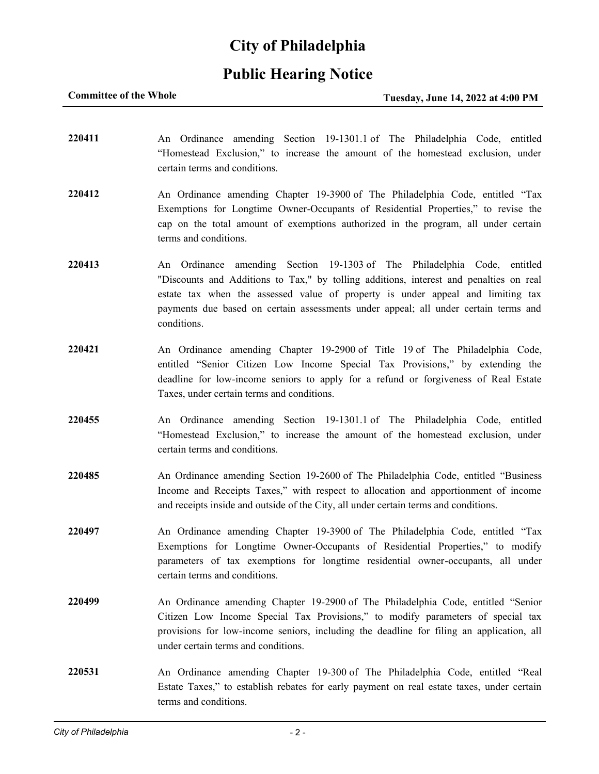## **City of Philadelphia**

## **Public Hearing Notice**

### **Committee of the Whole Tuesday, June 14, 2022 at 4:00 PM**

**220411** An Ordinance amending Section 19-1301.1 of The Philadelphia Code, entitled "Homestead Exclusion," to increase the amount of the homestead exclusion, under certain terms and conditions. **220412** An Ordinance amending Chapter 19-3900 of The Philadelphia Code, entitled "Tax Exemptions for Longtime Owner-Occupants of Residential Properties," to revise the cap on the total amount of exemptions authorized in the program, all under certain terms and conditions. **220413** An Ordinance amending Section 19-1303 of The Philadelphia Code, entitled "Discounts and Additions to Tax," by tolling additions, interest and penalties on real estate tax when the assessed value of property is under appeal and limiting tax payments due based on certain assessments under appeal; all under certain terms and conditions. **220421** An Ordinance amending Chapter 19-2900 of Title 19 of The Philadelphia Code, entitled "Senior Citizen Low Income Special Tax Provisions," by extending the deadline for low-income seniors to apply for a refund or forgiveness of Real Estate Taxes, under certain terms and conditions. **220455** An Ordinance amending Section 19-1301.1 of The Philadelphia Code, entitled "Homestead Exclusion," to increase the amount of the homestead exclusion, under certain terms and conditions. **220485** An Ordinance amending Section 19-2600 of The Philadelphia Code, entitled "Business Income and Receipts Taxes," with respect to allocation and apportionment of income and receipts inside and outside of the City, all under certain terms and conditions. **220497** An Ordinance amending Chapter 19-3900 of The Philadelphia Code, entitled "Tax Exemptions for Longtime Owner-Occupants of Residential Properties," to modify parameters of tax exemptions for longtime residential owner-occupants, all under certain terms and conditions. **220499** An Ordinance amending Chapter 19-2900 of The Philadelphia Code, entitled "Senior Citizen Low Income Special Tax Provisions," to modify parameters of special tax provisions for low-income seniors, including the deadline for filing an application, all under certain terms and conditions. **220531** An Ordinance amending Chapter 19-300 of The Philadelphia Code, entitled "Real Estate Taxes," to establish rebates for early payment on real estate taxes, under certain terms and conditions.